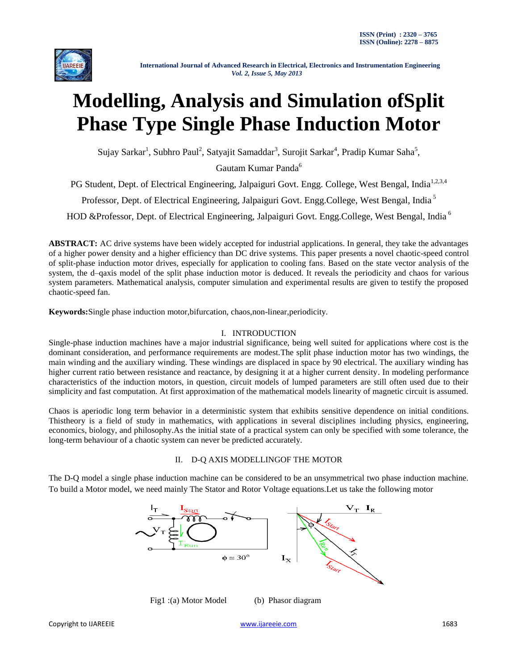

# **Modelling, Analysis and Simulation ofSplit Phase Type Single Phase Induction Motor**

Sujay Sarkar<sup>1</sup>, Subhro Paul<sup>2</sup>, Satyajit Samaddar<sup>3</sup>, Surojit Sarkar<sup>4</sup>, Pradip Kumar Saha<sup>5</sup>,

Gautam Kumar Panda<sup>6</sup>

PG Student, Dept. of Electrical Engineering, Jalpaiguri Govt. Engg. College, West Bengal, India<sup>1,2,3,4</sup>

Professor, Dept. of Electrical Engineering, Jalpaiguri Govt. Engg.College, West Bengal, India <sup>5</sup>

HOD &Professor, Dept. of Electrical Engineering, Jalpaiguri Govt. Engg.College, West Bengal, India<sup>6</sup>

**ABSTRACT:** AC drive systems have been widely accepted for industrial applications. In general, they take the advantages of a higher power density and a higher efficiency than DC drive systems. This paper presents a novel chaotic-speed control of split-phase induction motor drives, especially for application to cooling fans. Based on the state vector analysis of the system, the d–qaxis model of the split phase induction motor is deduced. It reveals the periodicity and chaos for various system parameters. Mathematical analysis, computer simulation and experimental results are given to testify the proposed chaotic-speed fan.

**Keywords:**Single phase induction motor,bifurcation, chaos,non-linear,periodicity.

## I. INTRODUCTION

Single-phase induction machines have a major industrial significance, being well suited for applications where cost is the dominant consideration, and performance requirements are modest.The split phase induction motor has two windings, the main winding and the auxiliary winding. These windings are displaced in space by 90 electrical. The auxiliary winding has higher current ratio between resistance and reactance, by designing it at a higher current density. In modeling performance characteristics of the induction motors, in question, circuit models of lumped parameters are still often used due to their simplicity and fast computation. At first approximation of the mathematical models linearity of magnetic circuit is assumed.

Chaos is aperiodic long term behavior in a deterministic system that exhibits sensitive dependence on initial conditions. Thistheory is a field of study in mathematics, with applications in several disciplines including physics, engineering, economics, biology, and philosophy.As the initial state of a practical system can only be specified with some tolerance, the long-term behaviour of a chaotic system can never be predicted accurately.

# II. D-Q AXIS MODELLINGOF THE MOTOR

The D-Q model a single phase induction machine can be considered to be an unsymmetrical two phase induction machine. To build a Motor model, we need mainly The Stator and Rotor Voltage equations.Let us take the following motor



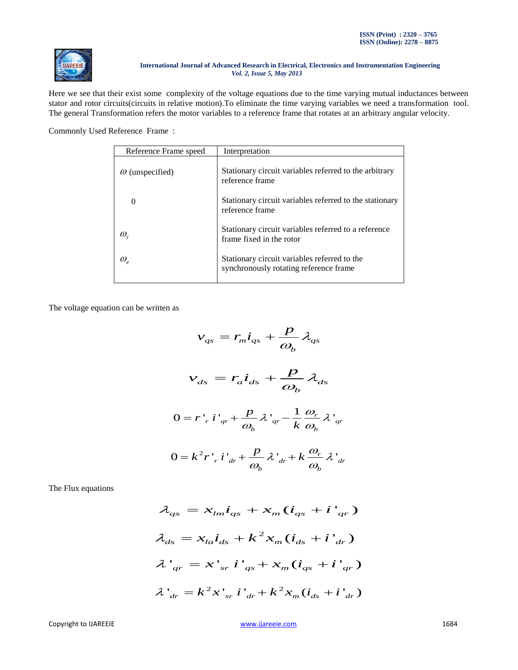

Here we see that their exist some complexity of the voltage equations due to the time varying mutual inductances between stator and rotor circuits(circuits in relative motion).To eliminate the time varying variables we need a transformation tool. The general Transformation refers the motor variables to a reference frame that rotates at an arbitrary angular velocity.

Commonly Used Reference Frame :

| Reference Frame speed           | Interpretation                                                                         |  |  |
|---------------------------------|----------------------------------------------------------------------------------------|--|--|
| $\omega$ (unspecified)          | Stationary circuit variables referred to the arbitrary<br>reference frame              |  |  |
| $\Omega$                        | Stationary circuit variables referred to the stationary<br>reference frame             |  |  |
| $\omega_{r}$                    | Stationary circuit variables referred to a reference<br>frame fixed in the rotor       |  |  |
| $\omega_{\scriptscriptstyle e}$ | Stationary circuit variables referred to the<br>synchronously rotating reference frame |  |  |

The voltage equation can be written as

$$
v_{qs} = r_m \dot{i}_{qs} + \frac{p}{\omega_b} \lambda_{qs}
$$
  

$$
v_{ds} = r_a \dot{i}_{ds} + \frac{p}{\omega_b} \lambda_{ds}
$$
  

$$
0 = r'_{r} i'_{qr} + \frac{p}{\omega_b} \lambda'_{qr} - \frac{1}{k} \frac{\omega_r}{\omega_b} \lambda'_{qr}
$$
  

$$
0 = k^2 r'_{r} i'_{dr} + \frac{p}{\omega_b} \lambda'_{dr} + k \frac{\omega_r}{\omega_b} \lambda'_{dr}
$$

The Flux equations

$$
\lambda_{qs} = x_{lm}\dot{i}_{qs} + x_m(\dot{i}_{qs} + \dot{i'}_{qr})
$$
  

$$
\lambda_{ds} = x_{la}\dot{i}_{ds} + k^2 x_m(\dot{i}_{ds} + \dot{i'}_{dr})
$$
  

$$
\lambda'_{qr} = x'_{sr}\dot{i'}_{qs} + x_m(\dot{i}_{qs} + \dot{i'}_{qr})
$$
  

$$
\lambda'_{dr} = k^2 x'_{sr}\dot{i'}_{dr} + k^2 x_m(\dot{i}_{ds} + \dot{i'}_{dr})
$$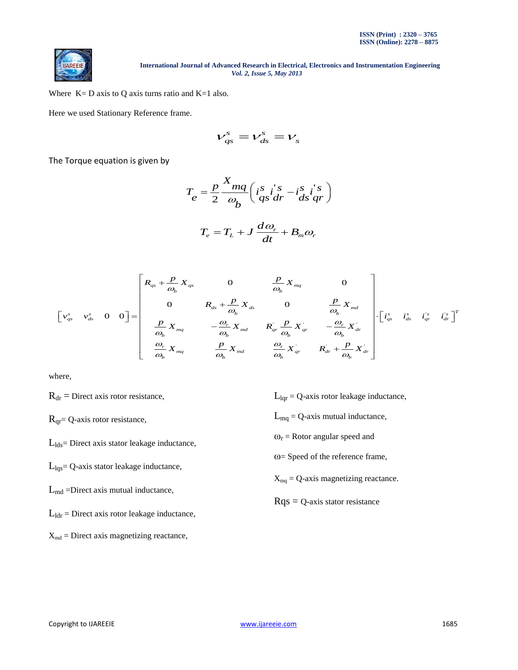

Where  $K = D$  axis to Q axis turns ratio and  $K = 1$  also.

Here we used Stationary Reference frame.

$$
V_{qs}^s = V_{ds}^s = V_s
$$

The Torque equation is given by

$$
T_e = \frac{p}{2} \frac{X_{mq}}{\omega_b} \left( i_s^s i_s^s - i_{ds}^s i_{qr}^s \right)
$$

$$
T_e = T_L + J \frac{d\omega_r}{dt} + B_m \omega_r
$$

$$
T_e = T_L + J \frac{d\omega_r}{dt} + B_m \omega_r
$$
  

$$
\begin{bmatrix} R_{qs} + \frac{p}{\omega_b} X_{qs} & 0 & \frac{p}{\omega_b} X_{mq} & 0 \\ 0 & R_{ds} + \frac{p}{\omega_b} X_{ds} & 0 & \frac{p}{\omega_b} X_{md} \\ \frac{p}{\omega_b} X_{mq} & -\frac{\omega_r}{\omega_b} X_{md} & R_{qr} \frac{p}{\omega_b} X_{qr} & -\frac{\omega_r}{\omega_b} X_{dr} \\ \frac{\omega_r}{\omega_b} X_{mq} & \frac{p}{\omega_b} X_{md} & \frac{\omega_r}{\omega_b} X_{qr} & R_{dr} + \frac{p}{\omega_b} X_{dr} \end{bmatrix} \cdot \begin{bmatrix} i_{qs}^s & i_{qs}^s & i_{qs}^s \\ -i_{qs}^s & i_{qs}^s & i_{qs}^s \end{bmatrix}^T
$$

where,

 $R_{dr}$  = Direct axis rotor resistance,

 $R<sub>qr</sub> = Q-axis$  rotor resistance,

 $L_{lds}$ = Direct axis stator leakage inductance,

 $L_{\text{Iqs}}$ = Q-axis stator leakage inductance,

 $L_{\text{md}}$  =Direct axis mutual inductance,

 $L_{\text{ldr}}$  = Direct axis rotor leakage inductance,

 $X_{md}$  = Direct axis magnetizing reactance,

- $L_{\text{Iqr}} = Q$ -axis rotor leakage inductance,
- $L_{mq} = Q$ -axis mutual inductance,

 $\omega_r$  = Rotor angular speed and

ω= Speed of the reference frame,

 $X_{mq} = Q$ -axis magnetizing reactance.

 $Rqs = Q$ -axis stator resistance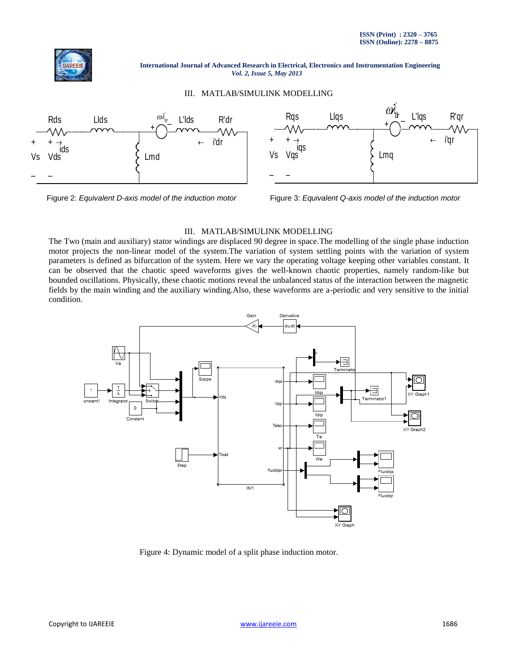

#### III. MATLAB/SIMULINK MODELLING





Figure 2: *Equivalent D-axis model of the induction motor* Figure 3: *Equivalent Q-axis model of the induction motor*

#### III. MATLAB/SIMULINK MODELLING

The Two (main and auxiliary) stator windings are displaced 90 degree in space.The modelling of the single phase induction motor projects the non-linear model of the system.The variation of system settling points with the variation of system parameters is defined as bifurcation of the system. Here we vary the operating voltage keeping other variables constant. It can be observed that the chaotic speed waveforms gives the well-known chaotic properties, namely random-like but bounded oscillations. Physically, these chaotic motions reveal the unbalanced status of the interaction between the magnetic fields by the main winding and the auxiliary winding.Also, these waveforms are a-periodic and very sensitive to the initial condition.



Figure 4: Dynamic model of a split phase induction motor.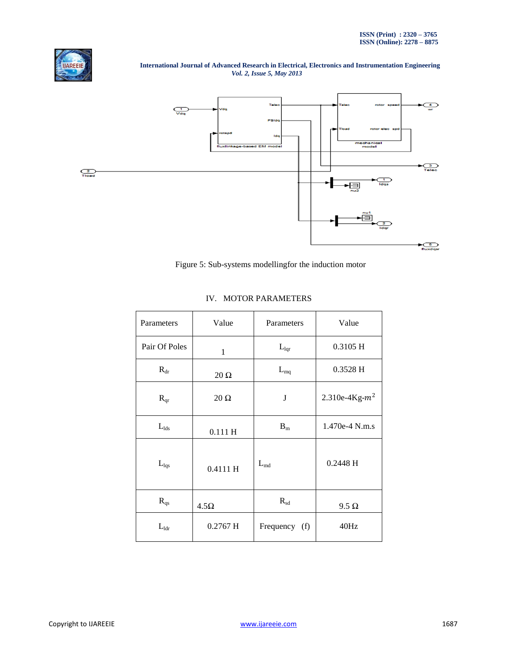



Figure 5: Sub-systems modellingfor the induction motor

| Parameters       | Value        | Parameters       | Value             |
|------------------|--------------|------------------|-------------------|
| Pair Of Poles    | $\mathbf{1}$ | $L_{\text{Iqr}}$ | 0.3105 H          |
| $R_{dr}$         | $20 \Omega$  | $L_{mq}$         | 0.3528 H          |
| $R_{qr}$         | $20 \Omega$  | J                | 2.310e-4Kg- $m^2$ |
| $L_{lds}$        | 0.111H       | $B_m$            | 1.470e-4 N.m.s    |
| $L_{\text{lag}}$ | 0.4111H      | $L_{\text{md}}$  | $0.2448$ H        |
| $R_{qs}$         | $4.5\Omega$  | $R_{sd}$         | $9.5 \Omega$      |
| $L_{\text{Idr}}$ | $0.2767$ H   | Frequency (f)    | 40Hz              |

# IV. MOTOR PARAMETERS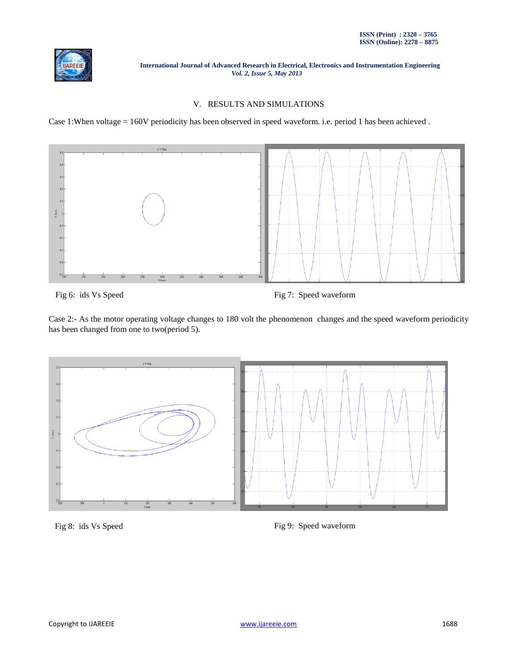

## V. RESULTS AND SIMULATIONS

Case 1:When voltage = 160V periodicity has been observed in speed waveform. i.e. period 1 has been achieved .



Fig 6: ids Vs Speed Fig 7: Speed waveform

Case 2:- As the motor operating voltage changes to 180 volt the phenomenon changes and the speed waveform periodicity has been changed from one to two(period 5).



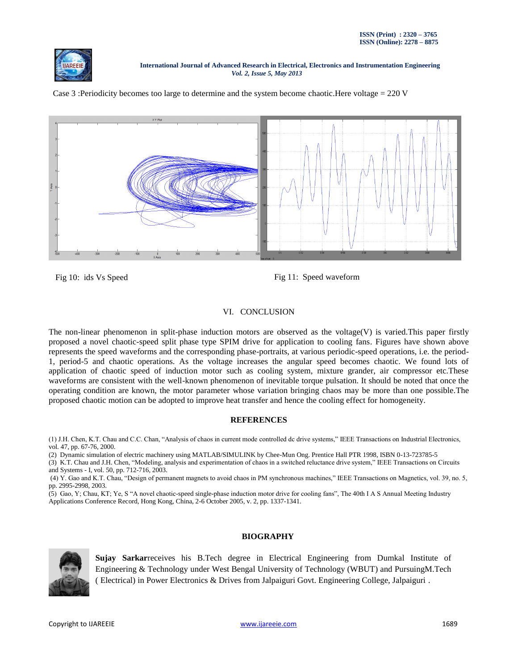





Fig 10: ids Vs Speed Fig 11: Speed waveform

# VI. CONCLUSION

The non-linear phenomenon in split-phase induction motors are observed as the voltage(V) is varied.This paper firstly proposed a novel chaotic-speed split phase type SPIM drive for application to cooling fans. Figures have shown above represents the speed waveforms and the corresponding phase-portraits, at various periodic-speed operations, i.e. the period-1, period-5 and chaotic operations. As the voltage increases the angular speed becomes chaotic. We found lots of application of chaotic speed of induction motor such as cooling system, mixture grander, air compressor etc.These waveforms are consistent with the well-known phenomenon of inevitable torque pulsation. It should be noted that once the operating condition are known, the motor parameter whose variation bringing chaos may be more than one possible.The proposed chaotic motion can be adopted to improve heat transfer and hence the cooling effect for homogeneity.

#### **REFERENCES**

(1) J.H. Chen, K.T. Chau and C.C. Chan, "Analysis of chaos in current mode controlled dc drive systems," IEEE Transactions on Industrial Electronics, vol. 47, pp. 67-76, 2000.

(2) Dynamic simulation of electric machinery using MATLAB/SIMULINK by Chee-Mun Ong. Prentice Hall PTR 1998, ISBN 0-13-723785-5

(3) K.T. Chau and J.H. Chen, "Modeling, analysis and experimentation of chaos in a switched reluctance drive system," IEEE Transactions on Circuits and Systems - I, vol. 50, pp. 712-716, 2003.

(4) Y. Gao and K.T. Chau, "Design of permanent magnets to avoid chaos in PM synchronous machines," IEEE Transactions on Magnetics, vol. 39, no. 5, pp. 2995-2998, 2003.

(5) Gao, Y; Chau, KT; Ye, S "A novel chaotic-speed single-phase induction motor drive for cooling fans", The 40th I A S Annual Meeting Industry Applications Conference Record, Hong Kong, China, 2-6 October 2005, v. 2, pp. 1337-1341.

#### **BIOGRAPHY**



**Sujay Sarkar**receives his B.Tech degree in Electrical Engineering from Dumkal Institute of Engineering & Technology under West Bengal University of Technology (WBUT) and PursuingM.Tech ( Electrical) in Power Electronics & Drives from Jalpaiguri Govt. Engineering College, Jalpaiguri .